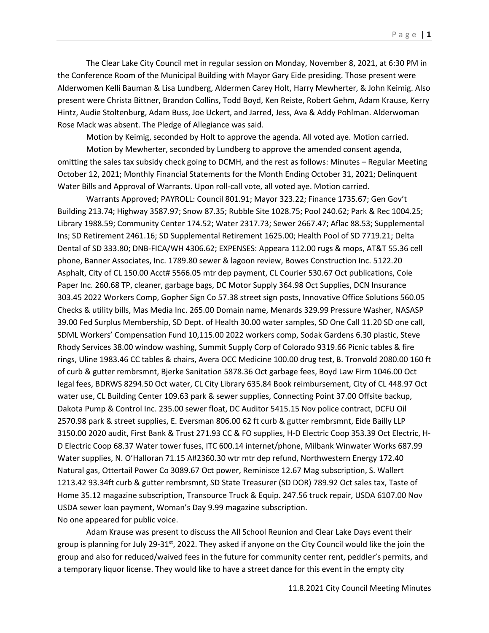The Clear Lake City Council met in regular session on Monday, November 8, 2021, at 6:30 PM in the Conference Room of the Municipal Building with Mayor Gary Eide presiding. Those present were Alderwomen Kelli Bauman & Lisa Lundberg, Aldermen Carey Holt, Harry Mewherter, & John Keimig. Also present were Christa Bittner, Brandon Collins, Todd Boyd, Ken Reiste, Robert Gehm, Adam Krause, Kerry Hintz, Audie Stoltenburg, Adam Buss, Joe Uckert, and Jarred, Jess, Ava & Addy Pohlman. Alderwoman Rose Mack was absent. The Pledge of Allegiance was said.

Motion by Keimig, seconded by Holt to approve the agenda. All voted aye. Motion carried.

Motion by Mewherter, seconded by Lundberg to approve the amended consent agenda, omitting the sales tax subsidy check going to DCMH, and the rest as follows: Minutes – Regular Meeting October 12, 2021; Monthly Financial Statements for the Month Ending October 31, 2021; Delinquent Water Bills and Approval of Warrants. Upon roll-call vote, all voted aye. Motion carried.

Warrants Approved; PAYROLL: Council 801.91; Mayor 323.22; Finance 1735.67; Gen Gov't Building 213.74; Highway 3587.97; Snow 87.35; Rubble Site 1028.75; Pool 240.62; Park & Rec 1004.25; Library 1988.59; Community Center 174.52; Water 2317.73; Sewer 2667.47; Aflac 88.53; Supplemental Ins; SD Retirement 2461.16; SD Supplemental Retirement 1625.00; Health Pool of SD 7719.21; Delta Dental of SD 333.80; DNB-FICA/WH 4306.62; EXPENSES: Appeara 112.00 rugs & mops, AT&T 55.36 cell phone, Banner Associates, Inc. 1789.80 sewer & lagoon review, Bowes Construction Inc. 5122.20 Asphalt, City of CL 150.00 Acct# 5566.05 mtr dep payment, CL Courier 530.67 Oct publications, Cole Paper Inc. 260.68 TP, cleaner, garbage bags, DC Motor Supply 364.98 Oct Supplies, DCN Insurance 303.45 2022 Workers Comp, Gopher Sign Co 57.38 street sign posts, Innovative Office Solutions 560.05 Checks & utility bills, Mas Media Inc. 265.00 Domain name, Menards 329.99 Pressure Washer, NASASP 39.00 Fed Surplus Membership, SD Dept. of Health 30.00 water samples, SD One Call 11.20 SD one call, SDML Workers' Compensation Fund 10,115.00 2022 workers comp, Sodak Gardens 6.30 plastic, Steve Rhody Services 38.00 window washing, Summit Supply Corp of Colorado 9319.66 Picnic tables & fire rings, Uline 1983.46 CC tables & chairs, Avera OCC Medicine 100.00 drug test, B. Tronvold 2080.00 160 ft of curb & gutter rembrsmnt, Bjerke Sanitation 5878.36 Oct garbage fees, Boyd Law Firm 1046.00 Oct legal fees, BDRWS 8294.50 Oct water, CL City Library 635.84 Book reimbursement, City of CL 448.97 Oct water use, CL Building Center 109.63 park & sewer supplies, Connecting Point 37.00 Offsite backup, Dakota Pump & Control Inc. 235.00 sewer float, DC Auditor 5415.15 Nov police contract, DCFU Oil 2570.98 park & street supplies, E. Eversman 806.00 62 ft curb & gutter rembrsmnt, Eide Bailly LLP 3150.00 2020 audit, First Bank & Trust 271.93 CC & FO supplies, H-D Electric Coop 353.39 Oct Electric, H-D Electric Coop 68.37 Water tower fuses, ITC 600.14 internet/phone, Milbank Winwater Works 687.99 Water supplies, N. O'Halloran 71.15 A#2360.30 wtr mtr dep refund, Northwestern Energy 172.40 Natural gas, Ottertail Power Co 3089.67 Oct power, Reminisce 12.67 Mag subscription, S. Wallert 1213.42 93.34ft curb & gutter rembrsmnt, SD State Treasurer (SD DOR) 789.92 Oct sales tax, Taste of Home 35.12 magazine subscription, Transource Truck & Equip. 247.56 truck repair, USDA 6107.00 Nov USDA sewer loan payment, Woman's Day 9.99 magazine subscription. No one appeared for public voice.

Adam Krause was present to discuss the All School Reunion and Clear Lake Days event their group is planning for July 29-31<sup>st</sup>, 2022. They asked if anyone on the City Council would like the join the group and also for reduced/waived fees in the future for community center rent, peddler's permits, and a temporary liquor license. They would like to have a street dance for this event in the empty city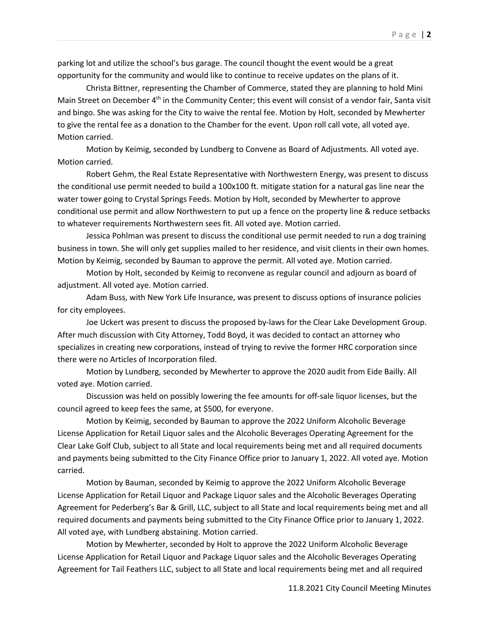parking lot and utilize the school's bus garage. The council thought the event would be a great opportunity for the community and would like to continue to receive updates on the plans of it.

Christa Bittner, representing the Chamber of Commerce, stated they are planning to hold Mini Main Street on December 4<sup>th</sup> in the Community Center; this event will consist of a vendor fair, Santa visit and bingo. She was asking for the City to waive the rental fee. Motion by Holt, seconded by Mewherter to give the rental fee as a donation to the Chamber for the event. Upon roll call vote, all voted aye. Motion carried.

Motion by Keimig, seconded by Lundberg to Convene as Board of Adjustments. All voted aye. Motion carried.

Robert Gehm, the Real Estate Representative with Northwestern Energy, was present to discuss the conditional use permit needed to build a 100x100 ft. mitigate station for a natural gas line near the water tower going to Crystal Springs Feeds. Motion by Holt, seconded by Mewherter to approve conditional use permit and allow Northwestern to put up a fence on the property line & reduce setbacks to whatever requirements Northwestern sees fit. All voted aye. Motion carried.

Jessica Pohlman was present to discuss the conditional use permit needed to run a dog training business in town. She will only get supplies mailed to her residence, and visit clients in their own homes. Motion by Keimig, seconded by Bauman to approve the permit. All voted aye. Motion carried.

Motion by Holt, seconded by Keimig to reconvene as regular council and adjourn as board of adjustment. All voted aye. Motion carried.

Adam Buss, with New York Life Insurance, was present to discuss options of insurance policies for city employees.

Joe Uckert was present to discuss the proposed by-laws for the Clear Lake Development Group. After much discussion with City Attorney, Todd Boyd, it was decided to contact an attorney who specializes in creating new corporations, instead of trying to revive the former HRC corporation since there were no Articles of Incorporation filed.

Motion by Lundberg, seconded by Mewherter to approve the 2020 audit from Eide Bailly. All voted aye. Motion carried.

Discussion was held on possibly lowering the fee amounts for off-sale liquor licenses, but the council agreed to keep fees the same, at \$500, for everyone.

Motion by Keimig, seconded by Bauman to approve the 2022 Uniform Alcoholic Beverage License Application for Retail Liquor sales and the Alcoholic Beverages Operating Agreement for the Clear Lake Golf Club, subject to all State and local requirements being met and all required documents and payments being submitted to the City Finance Office prior to January 1, 2022. All voted aye. Motion carried.

Motion by Bauman, seconded by Keimig to approve the 2022 Uniform Alcoholic Beverage License Application for Retail Liquor and Package Liquor sales and the Alcoholic Beverages Operating Agreement for Pederberg's Bar & Grill, LLC, subject to all State and local requirements being met and all required documents and payments being submitted to the City Finance Office prior to January 1, 2022. All voted aye, with Lundberg abstaining. Motion carried.

Motion by Mewherter, seconded by Holt to approve the 2022 Uniform Alcoholic Beverage License Application for Retail Liquor and Package Liquor sales and the Alcoholic Beverages Operating Agreement for Tail Feathers LLC, subject to all State and local requirements being met and all required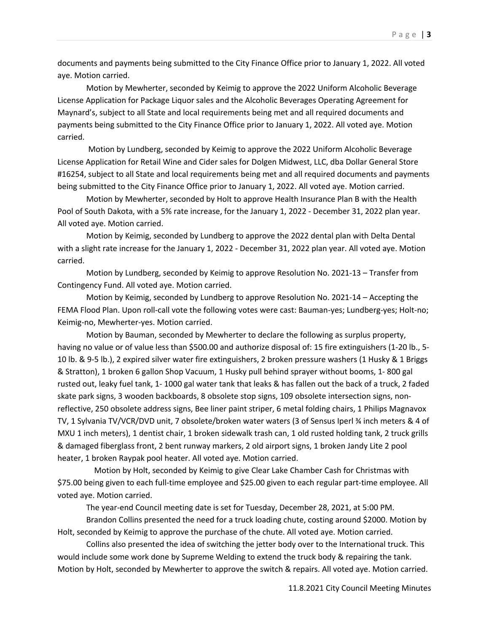documents and payments being submitted to the City Finance Office prior to January 1, 2022. All voted aye. Motion carried.

Motion by Mewherter, seconded by Keimig to approve the 2022 Uniform Alcoholic Beverage License Application for Package Liquor sales and the Alcoholic Beverages Operating Agreement for Maynard's, subject to all State and local requirements being met and all required documents and payments being submitted to the City Finance Office prior to January 1, 2022. All voted aye. Motion carried.

Motion by Lundberg, seconded by Keimig to approve the 2022 Uniform Alcoholic Beverage License Application for Retail Wine and Cider sales for Dolgen Midwest, LLC, dba Dollar General Store #16254, subject to all State and local requirements being met and all required documents and payments being submitted to the City Finance Office prior to January 1, 2022. All voted aye. Motion carried.

Motion by Mewherter, seconded by Holt to approve Health Insurance Plan B with the Health Pool of South Dakota, with a 5% rate increase, for the January 1, 2022 - December 31, 2022 plan year. All voted aye. Motion carried.

Motion by Keimig, seconded by Lundberg to approve the 2022 dental plan with Delta Dental with a slight rate increase for the January 1, 2022 - December 31, 2022 plan year. All voted aye. Motion carried.

Motion by Lundberg, seconded by Keimig to approve Resolution No. 2021-13 – Transfer from Contingency Fund. All voted aye. Motion carried.

Motion by Keimig, seconded by Lundberg to approve Resolution No. 2021-14 – Accepting the FEMA Flood Plan. Upon roll-call vote the following votes were cast: Bauman-yes; Lundberg-yes; Holt-no; Keimig-no, Mewherter-yes. Motion carried.

Motion by Bauman, seconded by Mewherter to declare the following as surplus property, having no value or of value less than \$500.00 and authorize disposal of: 15 fire extinguishers (1-20 lb., 5- 10 lb. & 9-5 lb.), 2 expired silver water fire extinguishers, 2 broken pressure washers (1 Husky & 1 Briggs & Stratton), 1 broken 6 gallon Shop Vacuum, 1 Husky pull behind sprayer without booms, 1- 800 gal rusted out, leaky fuel tank, 1- 1000 gal water tank that leaks & has fallen out the back of a truck, 2 faded skate park signs, 3 wooden backboards, 8 obsolete stop signs, 109 obsolete intersection signs, nonreflective, 250 obsolete address signs, Bee liner paint striper, 6 metal folding chairs, 1 Philips Magnavox TV, 1 Sylvania TV/VCR/DVD unit, 7 obsolete/broken water waters (3 of Sensus Iperl ¾ inch meters & 4 of MXU 1 inch meters), 1 dentist chair, 1 broken sidewalk trash can, 1 old rusted holding tank, 2 truck grills & damaged fiberglass front, 2 bent runway markers, 2 old airport signs, 1 broken Jandy Lite 2 pool heater, 1 broken Raypak pool heater. All voted aye. Motion carried.

 Motion by Holt, seconded by Keimig to give Clear Lake Chamber Cash for Christmas with \$75.00 being given to each full-time employee and \$25.00 given to each regular part-time employee. All voted aye. Motion carried.

The year-end Council meeting date is set for Tuesday, December 28, 2021, at 5:00 PM.

Brandon Collins presented the need for a truck loading chute, costing around \$2000. Motion by Holt, seconded by Keimig to approve the purchase of the chute. All voted aye. Motion carried.

Collins also presented the idea of switching the jetter body over to the International truck. This would include some work done by Supreme Welding to extend the truck body & repairing the tank. Motion by Holt, seconded by Mewherter to approve the switch & repairs. All voted aye. Motion carried.